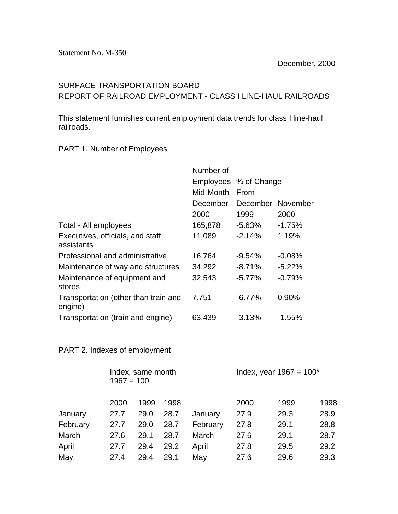## SURFACE TRANSPORTATION BOARD REPORT OF RAILROAD EMPLOYMENT - CLASS I LINE-HAUL RAILROADS

This statement furnishes current employment data trends for class I line-haul railroads.

## PART 1. Number of Employees

|                                                 | Number of |                       |           |
|-------------------------------------------------|-----------|-----------------------|-----------|
|                                                 |           | Employees % of Change |           |
|                                                 | Mid-Month | From                  |           |
|                                                 | December  | December November     |           |
|                                                 | 2000      | 1999                  | 2000      |
| Total - All employees                           | 165,878   | $-5.63%$              | $-1.75%$  |
| Executives, officials, and staff<br>assistants  | 11,089    | $-2.14%$              | 1.19%     |
| Professional and administrative                 | 16,764    | $-9.54%$              | $-0.08%$  |
| Maintenance of way and structures               | 34,292    | $-8.71%$              | $-5.22\%$ |
| Maintenance of equipment and<br>stores          | 32,543    | $-5.77\%$             | $-0.79%$  |
| Transportation (other than train and<br>engine) | 7,751     | $-6.77%$              | 0.90%     |
| Transportation (train and engine)               | 63,439    | $-3.13%$              | $-1.55\%$ |

## PART 2. Indexes of employment

|          | Index, same month<br>$1967 = 100$ |      |      | Index, year $1967 = 100^*$ |      |      |      |
|----------|-----------------------------------|------|------|----------------------------|------|------|------|
|          | 2000                              | 1999 | 1998 |                            | 2000 | 1999 | 1998 |
| January  | 27.7                              | 29.0 | 28.7 | January                    | 27.9 | 29.3 | 28.9 |
| February | 27.7                              | 29.0 | 28.7 | February                   | 27.8 | 29.1 | 28.8 |
| March    | 27.6                              | 29.1 | 28.7 | March                      | 27.6 | 29.1 | 28.7 |
| April    | 27.7                              | 29.4 | 29.2 | April                      | 27.8 | 29.5 | 29.2 |
| May      | 27.4                              | 29.4 | 29.1 | May                        | 27.6 | 29.6 | 29.3 |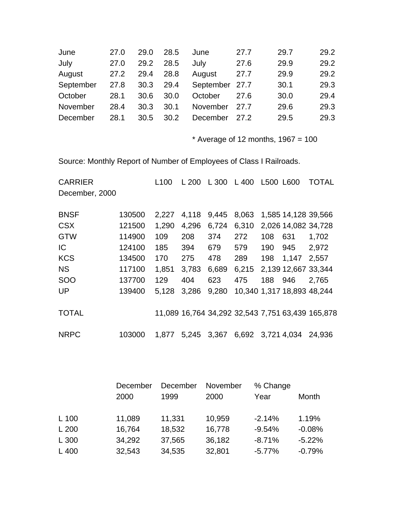| 27.0 | 29.0 | 28.5 | June     | 27.7 | 29.7           | 29.2 |
|------|------|------|----------|------|----------------|------|
| 27.0 | 29.2 | 28.5 | July     | 27.6 | 29.9           | 29.2 |
| 27.2 | 29.4 | 28.8 | August   | 27.7 | 29.9           | 29.2 |
| 27.8 | 30.3 | 29.4 |          |      | 30.1           | 29.3 |
| 28.1 | 30.6 | 30.0 | October  | 27.6 | 30.0           | 29.4 |
| 28.4 | 30.3 | 30.1 | November | 27.7 | 29.6           | 29.3 |
| 28.1 | 30.5 | 30.2 | December | 27.2 | 29.5           | 29.3 |
|      |      |      |          |      | September 27.7 |      |

 $*$  Average of 12 months, 1967 = 100

Source: Monthly Report of Number of Employees of Class I Railroads.

| <b>CARRIER</b> |        | L <sub>100</sub> | L 200 | L 300 | L 400 | L500 L600 |                     | TOTAL                                            |
|----------------|--------|------------------|-------|-------|-------|-----------|---------------------|--------------------------------------------------|
| December, 2000 |        |                  |       |       |       |           |                     |                                                  |
| <b>BNSF</b>    | 130500 | 2,227            | 4,118 | 9,445 | 8,063 |           | 1,585 14,128 39,566 |                                                  |
| <b>CSX</b>     | 121500 | 1,290            | 4,296 | 6,724 | 6,310 |           | 2,026 14,082 34,728 |                                                  |
| <b>GTW</b>     | 114900 | 109              | 208   | 374   | 272   | 108       | 631                 | 1,702                                            |
| IC             | 124100 | 185              | 394   | 679   | 579   | 190       | 945                 | 2,972                                            |
| <b>KCS</b>     | 134500 | 170              | 275   | 478   | 289   | 198       | 1,147               | 2,557                                            |
| <b>NS</b>      | 117100 | 1,851            | 3,783 | 6,689 | 6,215 |           | 2,139 12,667 33,344 |                                                  |
| <b>SOO</b>     | 137700 | 129              | 404   | 623   | 475   | 188       | 946                 | 2,765                                            |
| <b>UP</b>      | 139400 | 5,128            | 3,286 | 9,280 |       |           |                     | 10,340 1,317 18,893 48,244                       |
| <b>TOTAL</b>   |        |                  |       |       |       |           |                     | 11,089 16,764 34,292 32,543 7,751 63,439 165,878 |
| <b>NRPC</b>    | 103000 | 1,877            | 5,245 | 3,367 | 6,692 |           | 3,721 4,034         | 24.936                                           |

|         | December | December | November | % Change |          |
|---------|----------|----------|----------|----------|----------|
|         | 2000     | 1999     | 2000     | Year     | Month    |
|         |          |          |          |          |          |
| $L$ 100 | 11,089   | 11,331   | 10,959   | $-2.14%$ | 1.19%    |
| L200    | 16,764   | 18,532   | 16,778   | $-9.54%$ | $-0.08%$ |
| L 300   | 34,292   | 37,565   | 36,182   | $-8.71%$ | $-5.22%$ |
| L 400   | 32,543   | 34,535   | 32,801   | $-5.77%$ | $-0.79%$ |